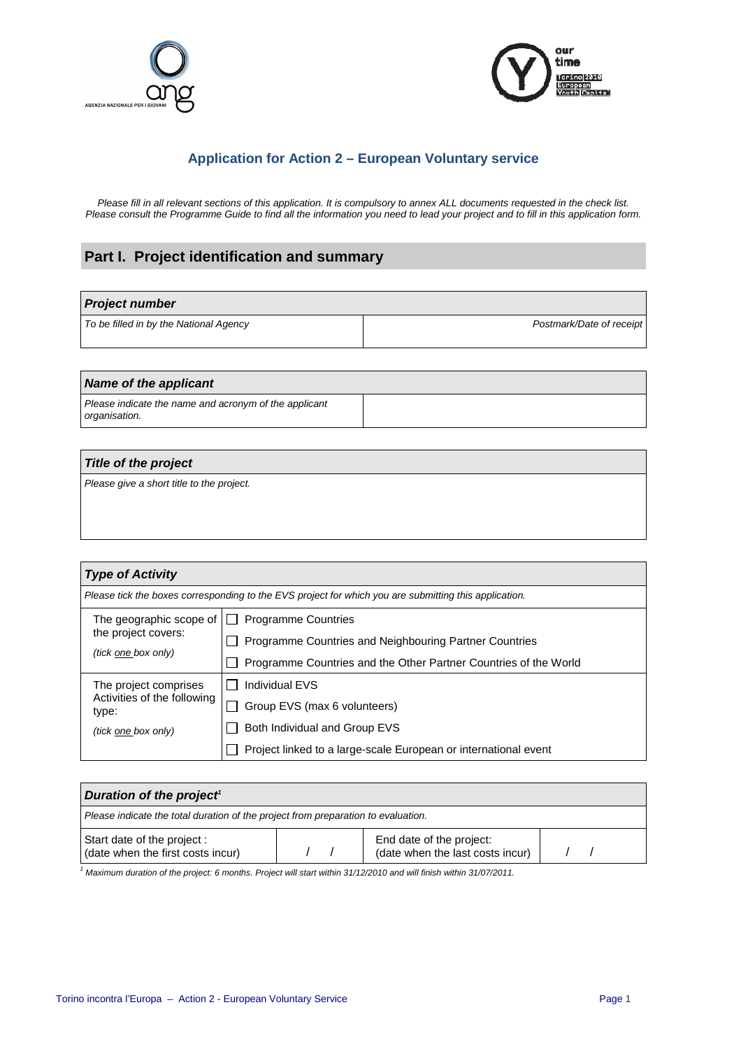



## **Application for Action 2 – European Voluntary service**

Please fill in all relevant sections of this application. It is compulsory to annex ALL documents requested in the check list. Please consult the Programme Guide to find all the information you need to lead your project and to fill in this application form.

# **Part I. Project identification and summary**

| <b>Project number</b>                  |                          |  |  |
|----------------------------------------|--------------------------|--|--|
| To be filled in by the National Agency | Postmark/Date of receipt |  |  |
|                                        |                          |  |  |

#### **Name of the applicant**  Please indicate the name and acronym of the applicant organisation.

# **Title of the project**

Please give a short title to the project.

| <b>Type of Activity</b>                                                                               |                                                                  |  |  |  |
|-------------------------------------------------------------------------------------------------------|------------------------------------------------------------------|--|--|--|
| Please tick the boxes corresponding to the EVS project for which you are submitting this application. |                                                                  |  |  |  |
| The geographic scope of                                                                               | <b>Programme Countries</b>                                       |  |  |  |
| the project covers:<br>(tick one box only)                                                            | Programme Countries and Neighbouring Partner Countries           |  |  |  |
|                                                                                                       | Programme Countries and the Other Partner Countries of the World |  |  |  |
| The project comprises                                                                                 | <b>Individual EVS</b>                                            |  |  |  |
| Activities of the following<br>type:                                                                  | Group EVS (max 6 volunteers)                                     |  |  |  |
| (tick one box only)                                                                                   | Both Individual and Group EVS                                    |  |  |  |
|                                                                                                       | Project linked to a large-scale European or international event  |  |  |  |

| Duration of the project <sup>1</sup>                                              |  |                                                              |  |  |
|-----------------------------------------------------------------------------------|--|--------------------------------------------------------------|--|--|
| Please indicate the total duration of the project from preparation to evaluation. |  |                                                              |  |  |
| Start date of the project :<br>(date when the first costs incur)                  |  | End date of the project:<br>(date when the last costs incur) |  |  |

<sup>1</sup> Maximum duration of the project: 6 months. Project will start within 31/12/2010 and will finish within 31/07/2011.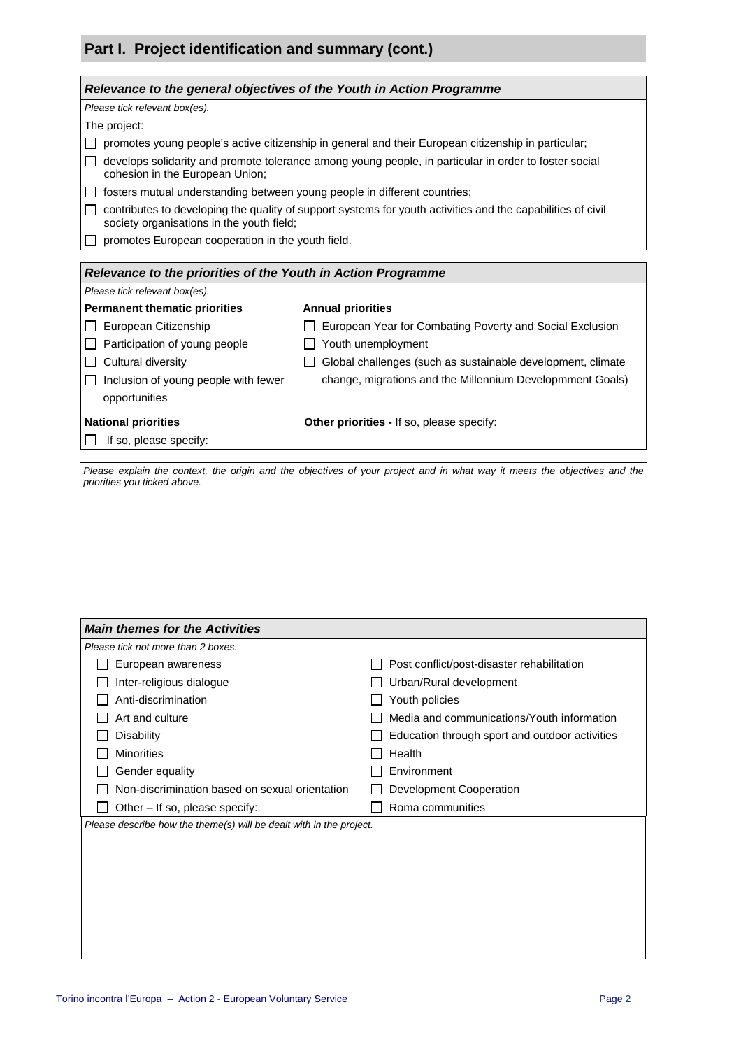# **Part I. Project identification and summary (cont.)**

| Relevance to the general objectives of the Youth in Action Programme                                  |                                                                                                             |  |  |  |
|-------------------------------------------------------------------------------------------------------|-------------------------------------------------------------------------------------------------------------|--|--|--|
| Please tick relevant box(es).                                                                         |                                                                                                             |  |  |  |
| The project:                                                                                          |                                                                                                             |  |  |  |
|                                                                                                       | promotes young people's active citizenship in general and their European citizenship in particular;         |  |  |  |
| cohesion in the European Union;                                                                       | develops solidarity and promote tolerance among young people, in particular in order to foster social       |  |  |  |
| $\Box$ fosters mutual understanding between young people in different countries;                      |                                                                                                             |  |  |  |
| society organisations in the youth field;                                                             | contributes to developing the quality of support systems for youth activities and the capabilities of civil |  |  |  |
| promotes European cooperation in the youth field.                                                     |                                                                                                             |  |  |  |
|                                                                                                       |                                                                                                             |  |  |  |
| Relevance to the priorities of the Youth in Action Programme<br>Please tick relevant box(es).         |                                                                                                             |  |  |  |
| <b>Permanent thematic priorities</b>                                                                  | <b>Annual priorities</b>                                                                                    |  |  |  |
| European Citizenship                                                                                  | European Year for Combating Poverty and Social Exclusion                                                    |  |  |  |
| Participation of young people                                                                         | Youth unemployment                                                                                          |  |  |  |
| $\Box$ Cultural diversity                                                                             | Global challenges (such as sustainable development, climate                                                 |  |  |  |
| $\Box$ Inclusion of young people with fewer                                                           | change, migrations and the Millennium Developmment Goals)                                                   |  |  |  |
| opportunities                                                                                         |                                                                                                             |  |  |  |
|                                                                                                       |                                                                                                             |  |  |  |
| <b>National priorities</b>                                                                            | Other priorities - If so, please specify:                                                                   |  |  |  |
| If so, please specify:                                                                                |                                                                                                             |  |  |  |
|                                                                                                       |                                                                                                             |  |  |  |
|                                                                                                       |                                                                                                             |  |  |  |
| <b>Main themes for the Activities</b><br>Please tick not more than 2 boxes.                           |                                                                                                             |  |  |  |
| European awareness                                                                                    | Post conflict/post-disaster rehabilitation                                                                  |  |  |  |
| Inter-religious dialogue                                                                              | Urban/Rural development                                                                                     |  |  |  |
| Anti-discrimination                                                                                   | Youth policies                                                                                              |  |  |  |
| Art and culture                                                                                       | Media and communications/Youth information                                                                  |  |  |  |
| <b>Disability</b>                                                                                     | Education through sport and outdoor activities                                                              |  |  |  |
| <b>Minorities</b>                                                                                     |                                                                                                             |  |  |  |
|                                                                                                       | Health                                                                                                      |  |  |  |
| Gender equality<br>Environment                                                                        |                                                                                                             |  |  |  |
| Non-discrimination based on sexual orientation<br>Development Cooperation                             |                                                                                                             |  |  |  |
| Other - If so, please specify:<br>Please describe how the theme(s) will be dealt with in the project. | Roma communities                                                                                            |  |  |  |
|                                                                                                       |                                                                                                             |  |  |  |
|                                                                                                       |                                                                                                             |  |  |  |
|                                                                                                       |                                                                                                             |  |  |  |
|                                                                                                       |                                                                                                             |  |  |  |
|                                                                                                       |                                                                                                             |  |  |  |
|                                                                                                       |                                                                                                             |  |  |  |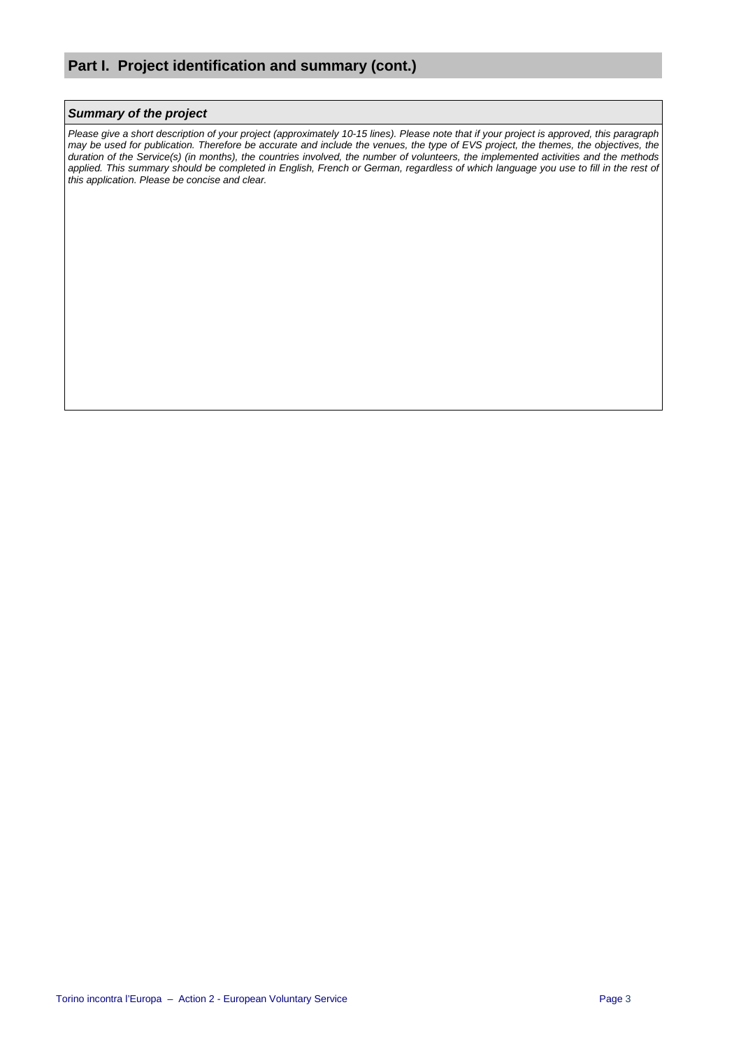#### **Summary of the project**

Please give a short description of your project (approximately 10-15 lines). Please note that if your project is approved, this paragraph may be used for publication. Therefore be accurate and include the venues, the type of EVS project, the themes, the objectives, the duration of the Service(s) (in months), the countries involved, the number of volunteers, the implemented activities and the methods applied. This summary should be completed in English, French or German, regardless of which language you use to fill in the rest of this application. Please be concise and clear.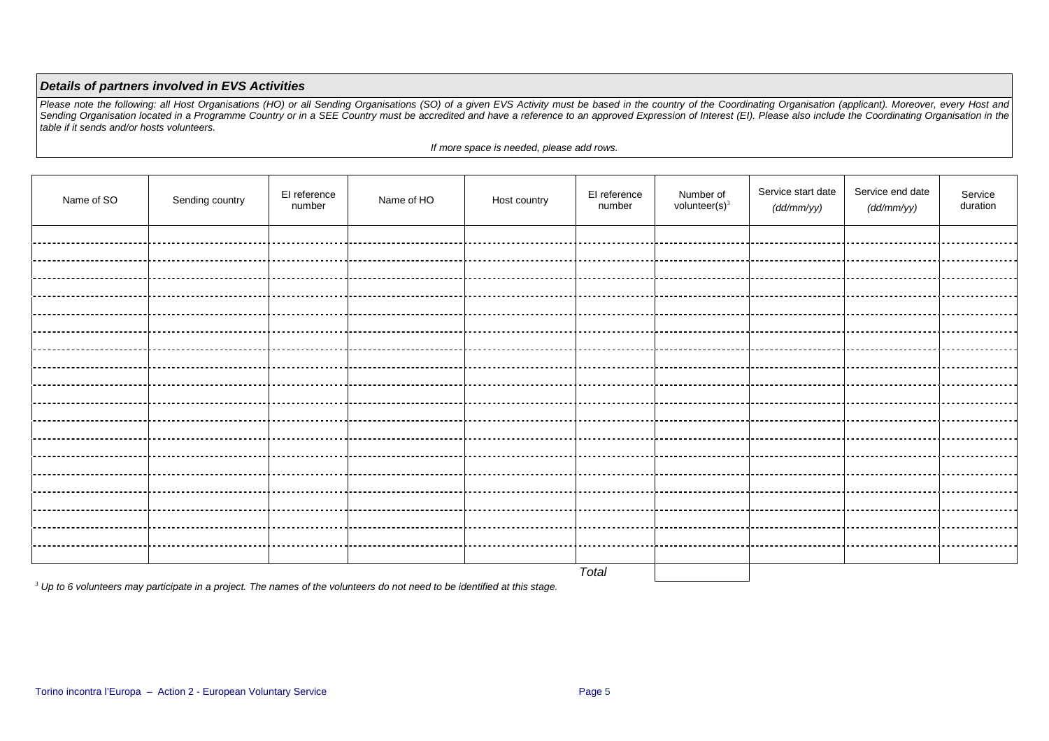#### **Details of partners involved in EVS Activities**

Please note the following: all Host Organisations (HO) or all Sending Organisations (SO) of a given EVS Activity must be based in the country of the Coordinating Organisation (applicant). Moreover, every Host and<br>Sending O

If more space is needed, please add rows.

| Name of SO | Sending country | El reference<br>number | Name of HO                       | Host country | El reference<br>number | Number of<br>volunteer $(s)^3$ | Service start date<br>(dd/mm/yy) | Service end date<br>(dd/mm/yy) | Service<br>duration |
|------------|-----------------|------------------------|----------------------------------|--------------|------------------------|--------------------------------|----------------------------------|--------------------------------|---------------------|
|            |                 |                        |                                  |              |                        |                                |                                  |                                |                     |
|            |                 |                        |                                  |              |                        |                                |                                  |                                |                     |
|            |                 |                        |                                  |              |                        |                                |                                  |                                |                     |
|            |                 |                        |                                  |              |                        |                                |                                  |                                |                     |
|            |                 |                        |                                  |              |                        |                                |                                  |                                |                     |
|            |                 |                        |                                  |              |                        |                                |                                  |                                |                     |
|            |                 |                        |                                  |              |                        |                                |                                  |                                |                     |
|            |                 |                        |                                  |              |                        |                                |                                  |                                |                     |
|            |                 |                        |                                  |              |                        |                                |                                  |                                |                     |
|            |                 |                        |                                  |              |                        |                                |                                  |                                |                     |
|            |                 |                        |                                  |              |                        |                                |                                  |                                |                     |
|            |                 |                        |                                  |              |                        |                                |                                  |                                |                     |
|            |                 |                        |                                  |              |                        |                                |                                  |                                |                     |
|            |                 |                        |                                  |              |                        |                                |                                  |                                |                     |
|            |                 |                        | ----------------------- <b>-</b> |              |                        | ____________________           |                                  |                                |                     |
|            |                 |                        |                                  |              |                        |                                |                                  |                                |                     |
|            |                 |                        |                                  |              |                        |                                |                                  |                                |                     |
|            |                 |                        |                                  |              |                        |                                |                                  |                                |                     |
|            |                 |                        |                                  |              |                        |                                |                                  |                                |                     |
|            |                 |                        |                                  |              | Total                  |                                |                                  |                                |                     |

 $^3$  Up to 6 volunteers may participate in a project. The names of the volunteers do not need to be identified at this stage.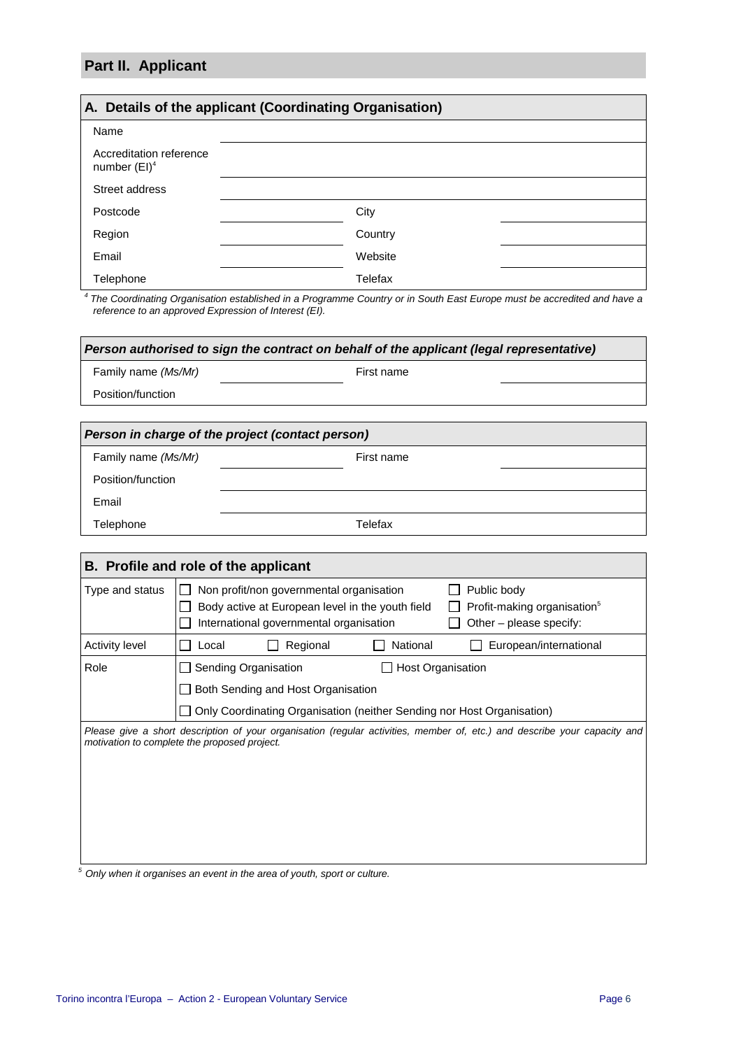# **Part II. Applicant**

Email

Telephone

| A. Details of the applicant (Coordinating Organisation) |         |  |  |  |
|---------------------------------------------------------|---------|--|--|--|
| Name                                                    |         |  |  |  |
| Accreditation reference<br>number $(EI)^4$              |         |  |  |  |
| Street address                                          |         |  |  |  |
| Postcode                                                | City    |  |  |  |
| Region                                                  | Country |  |  |  |
| Email                                                   | Website |  |  |  |
| Telephone                                               | Telefax |  |  |  |

4 The Coordinating Organisation established in a Programme Country or in South East Europe must be accredited and have a reference to an approved Expression of Interest (EI).

| Person authorised to sign the contract on behalf of the applicant (legal representative) |            |  |  |  |  |
|------------------------------------------------------------------------------------------|------------|--|--|--|--|
| Family name (Ms/Mr)                                                                      | First name |  |  |  |  |
| Position/function                                                                        |            |  |  |  |  |
|                                                                                          |            |  |  |  |  |
| Person in charge of the project (contact person)                                         |            |  |  |  |  |
| Family name (Ms/Mr)                                                                      | First name |  |  |  |  |
|                                                                                          |            |  |  |  |  |

| B. Profile and role of the applicant |                                                                                                                                                                                                                              |  |  |  |
|--------------------------------------|------------------------------------------------------------------------------------------------------------------------------------------------------------------------------------------------------------------------------|--|--|--|
| Type and status                      | Non profit/non governmental organisation<br>Public body<br>Body active at European level in the youth field<br>Profit-making organisation <sup>5</sup><br>International governmental organisation<br>Other – please specify: |  |  |  |
| <b>Activity level</b>                | Regional<br>National<br>European/international<br>Local                                                                                                                                                                      |  |  |  |
| Role                                 | Sending Organisation<br><b>Host Organisation</b><br>Both Sending and Host Organisation<br>Only Coordinating Organisation (neither Sending nor Host Organisation)                                                             |  |  |  |
|                                      | Please give a short description of your organisation (regular activities, member of, etc.) and describe your capacity and<br>motivation to complete the proposed project.                                                    |  |  |  |

 $\frac{5}{6}$  Only when it organises an event in the area of youth, sport or culture.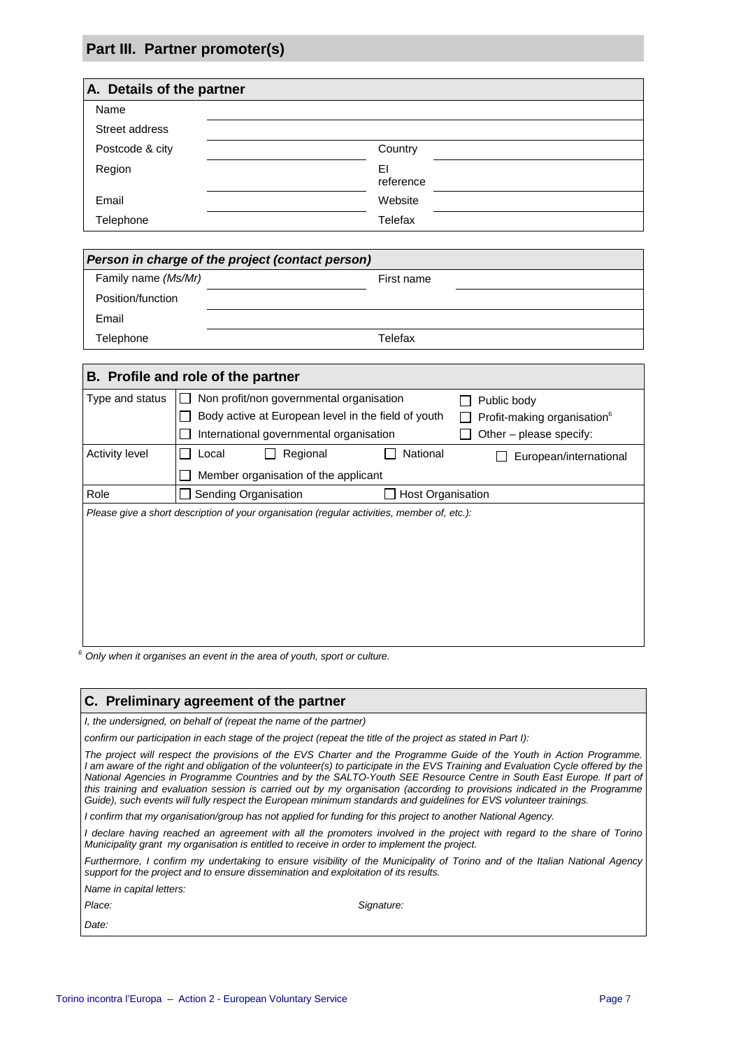# **Part III. Partner promoter(s)**

| A. Details of the partner |                 |  |  |  |
|---------------------------|-----------------|--|--|--|
| Name                      |                 |  |  |  |
| Street address            |                 |  |  |  |
| Postcode & city           | Country         |  |  |  |
| Region                    | EI<br>reference |  |  |  |
| Email                     | Website         |  |  |  |
| Telephone                 | Telefax         |  |  |  |

| Person in charge of the project (contact person) |            |  |  |  |
|--------------------------------------------------|------------|--|--|--|
| Family name (Ms/Mr)                              | First name |  |  |  |
| Position/function                                |            |  |  |  |
| Email                                            |            |  |  |  |
| Telephone                                        | Telefax    |  |  |  |

| B. Profile and role of the partner |                                                                                             |                          |                                         |  |  |
|------------------------------------|---------------------------------------------------------------------------------------------|--------------------------|-----------------------------------------|--|--|
| Type and status                    | Non profit/non governmental organisation                                                    |                          | Public body                             |  |  |
|                                    | Body active at European level in the field of youth                                         |                          | Profit-making organisation <sup>6</sup> |  |  |
|                                    | International governmental organisation                                                     |                          | Other – please specify:                 |  |  |
| Activity level                     | Regional<br>Local                                                                           | National                 | European/international                  |  |  |
|                                    | Member organisation of the applicant                                                        |                          |                                         |  |  |
| Role                               | Sending Organisation                                                                        | <b>Host Organisation</b> |                                         |  |  |
|                                    | Please give a short description of your organisation (regular activities, member of, etc.): |                          |                                         |  |  |
|                                    |                                                                                             |                          |                                         |  |  |
|                                    |                                                                                             |                          |                                         |  |  |
|                                    |                                                                                             |                          |                                         |  |  |
|                                    |                                                                                             |                          |                                         |  |  |
|                                    |                                                                                             |                          |                                         |  |  |
|                                    |                                                                                             |                          |                                         |  |  |
|                                    |                                                                                             |                          |                                         |  |  |

 $6$  Only when it organises an event in the area of youth, sport or culture.

#### **C. Preliminary agreement of the partner**

I, the undersigned, on behalf of (repeat the name of the partner)

confirm our participation in each stage of the project (repeat the title of the project as stated in Part I):

The project will respect the provisions of the EVS Charter and the Programme Guide of the Youth in Action Programme. I am aware of the right and obligation of the volunteer(s) to participate in the EVS Training and Evaluation Cycle offered by the National Agencies in Programme Countries and by the SALTO-Youth SEE Resource Centre in South East Europe. If part of this training and evaluation session is carried out by my organisation (according to provisions indicated in the Programme Guide), such events will fully respect the European minimum standards and guidelines for EVS volunteer trainings.

I confirm that my organisation/group has not applied for funding for this project to another National Agency.

I declare having reached an agreement with all the promoters involved in the project with regard to the share of Torino Municipality grant my organisation is entitled to receive in order to implement the project.

Furthermore, I confirm my undertaking to ensure visibility of the Municipality of Torino and of the Italian National Agency support for the project and to ensure dissemination and exploitation of its results.

Name in capital letters:

Place: Signature: Signature:

Date: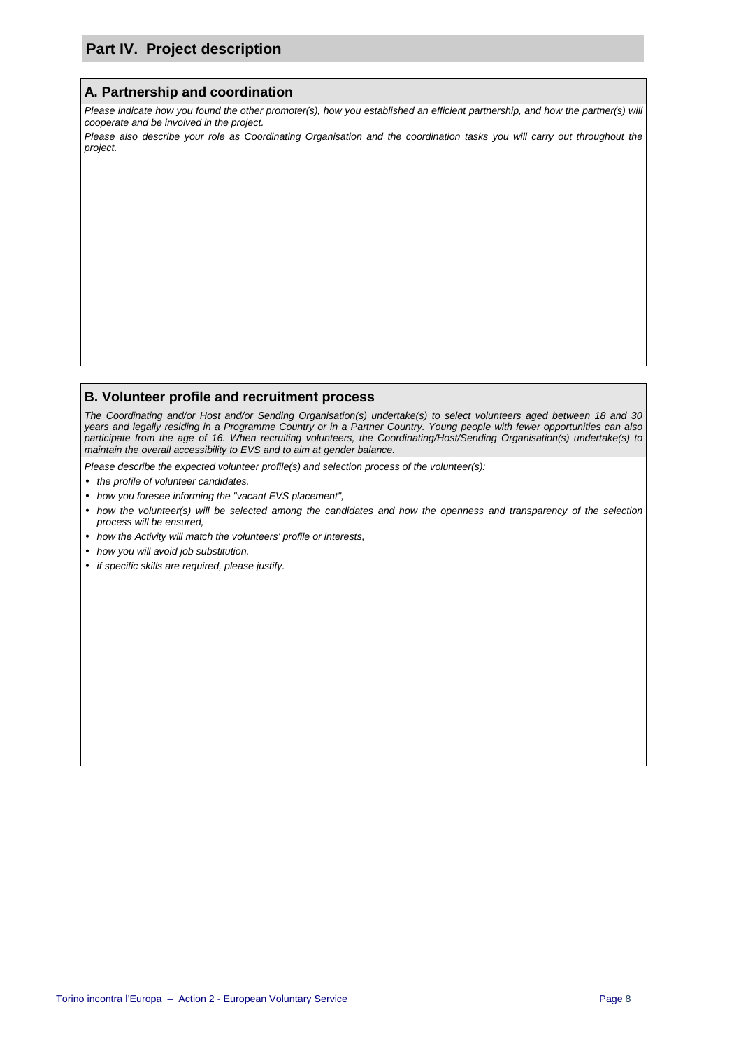# **Part IV. Project description**

#### **A. Partnership and coordination**

Please indicate how you found the other promoter(s), how you established an efficient partnership, and how the partner(s) will cooperate and be involved in the project.

Please also describe your role as Coordinating Organisation and the coordination tasks you will carry out throughout the project.

## **B. Volunteer profile and recruitment process**

The Coordinating and/or Host and/or Sending Organisation(s) undertake(s) to select volunteers aged between 18 and 30 years and legally residing in a Programme Country or in a Partner Country. Young people with fewer opportunities can also participate from the age of 16. When recruiting volunteers, the Coordinating/Host/Sending Organisation(s) undertake(s) to maintain the overall accessibility to EVS and to aim at gender balance.

Please describe the expected volunteer profile(s) and selection process of the volunteer(s):

- the profile of volunteer candidates,
- how you foresee informing the "vacant EVS placement",
- how the volunteer(s) will be selected among the candidates and how the openness and transparency of the selection process will be ensured,
- how the Activity will match the volunteers' profile or interests,
- how you will avoid job substitution,
- if specific skills are required, please justify.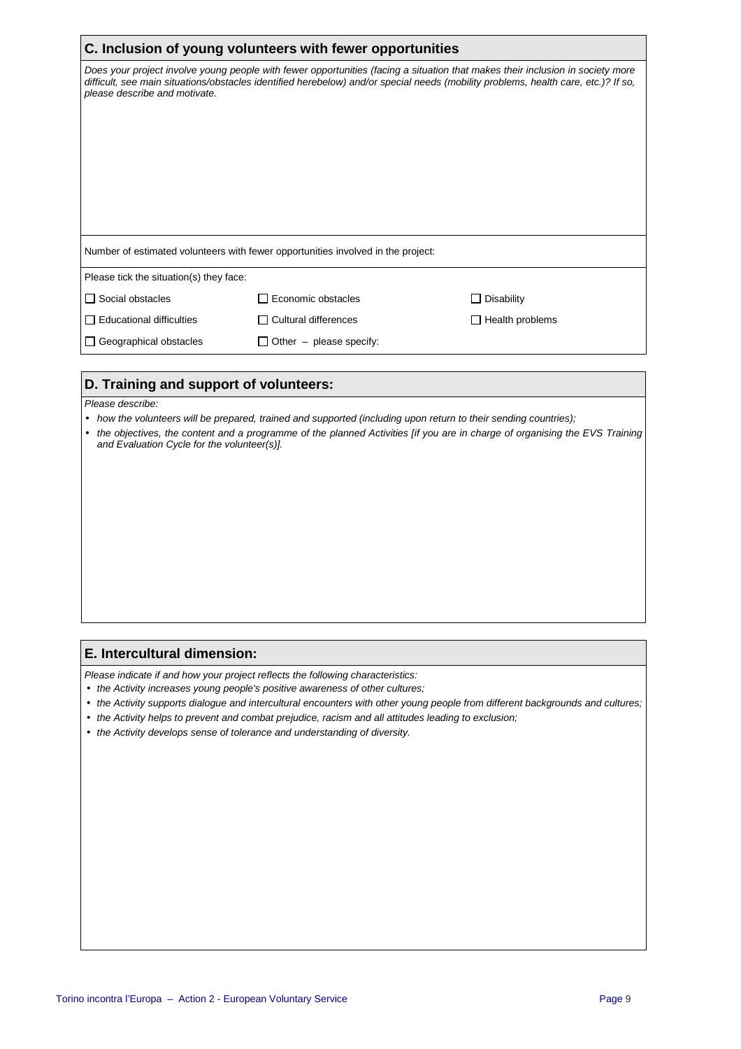| C. Inclusion of young volunteers with fewer opportunities                                                                                                                                                                                                                                             |                                |                        |  |
|-------------------------------------------------------------------------------------------------------------------------------------------------------------------------------------------------------------------------------------------------------------------------------------------------------|--------------------------------|------------------------|--|
| Does your project involve young people with fewer opportunities (facing a situation that makes their inclusion in society more<br>difficult, see main situations/obstacles identified herebelow) and/or special needs (mobility problems, health care, etc.)? If so,<br>please describe and motivate. |                                |                        |  |
|                                                                                                                                                                                                                                                                                                       |                                |                        |  |
| Number of estimated volunteers with fewer opportunities involved in the project:                                                                                                                                                                                                                      |                                |                        |  |
| Please tick the situation(s) they face:                                                                                                                                                                                                                                                               |                                |                        |  |
| $\Box$ Social obstacles                                                                                                                                                                                                                                                                               | Economic obstacles             | $\Box$ Disability      |  |
| $\Box$ Educational difficulties                                                                                                                                                                                                                                                                       | $\Box$ Cultural differences    | $\Box$ Health problems |  |
| Geographical obstacles                                                                                                                                                                                                                                                                                | $\Box$ Other – please specify: |                        |  |

### **D. Training and support of volunteers:**

#### Please describe:

- how the volunteers will be prepared, trained and supported (including upon return to their sending countries);
- the objectives, the content and a programme of the planned Activities [if you are in charge of organising the EVS Training and Evaluation Cycle for the volunteer(s)].

#### **E. Intercultural dimension:**

Please indicate if and how your project reflects the following characteristics:

- the Activity increases young people's positive awareness of other cultures;
- the Activity supports dialogue and intercultural encounters with other young people from different backgrounds and cultures;
- the Activity helps to prevent and combat prejudice, racism and all attitudes leading to exclusion;
- the Activity develops sense of tolerance and understanding of diversity.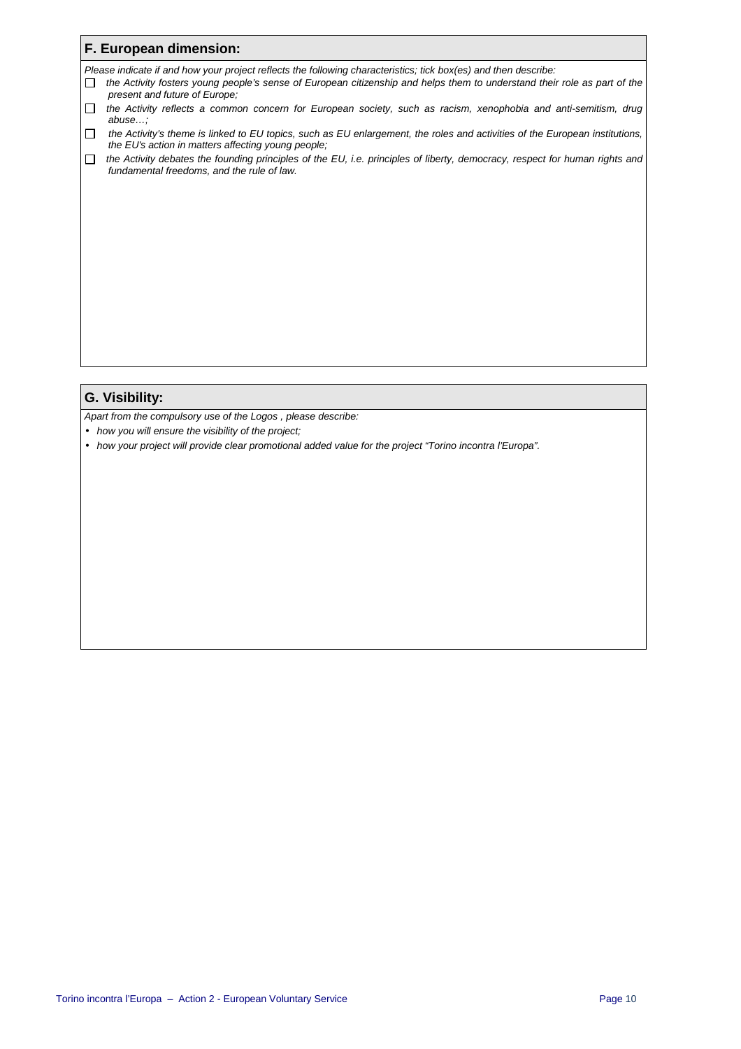|              | F. European dimension:                                                                                                                                                                                                                                                       |
|--------------|------------------------------------------------------------------------------------------------------------------------------------------------------------------------------------------------------------------------------------------------------------------------------|
| П            | Please indicate if and how your project reflects the following characteristics; tick box(es) and then describe:<br>the Activity fosters young people's sense of European citizenship and helps them to understand their role as part of the<br>present and future of Europe: |
| П            | the Activity reflects a common concern for European society, such as racism, xenophobia and anti-semitism, drug<br>abuse                                                                                                                                                     |
| $\Box$       | the Activity's theme is linked to EU topics, such as EU enlargement, the roles and activities of the European institutions,<br>the EU's action in matters affecting young people;                                                                                            |
| $\mathbf{I}$ | the Activity debates the founding principles of the EU, i.e. principles of liberty, democracy, respect for human rights and<br>fundamental freedoms, and the rule of law.                                                                                                    |

# **G. Visibility:**

Apart from the compulsory use of the Logos , please describe:

- how you will ensure the visibility of the project;
- how your project will provide clear promotional added value for the project "Torino incontra l'Europa".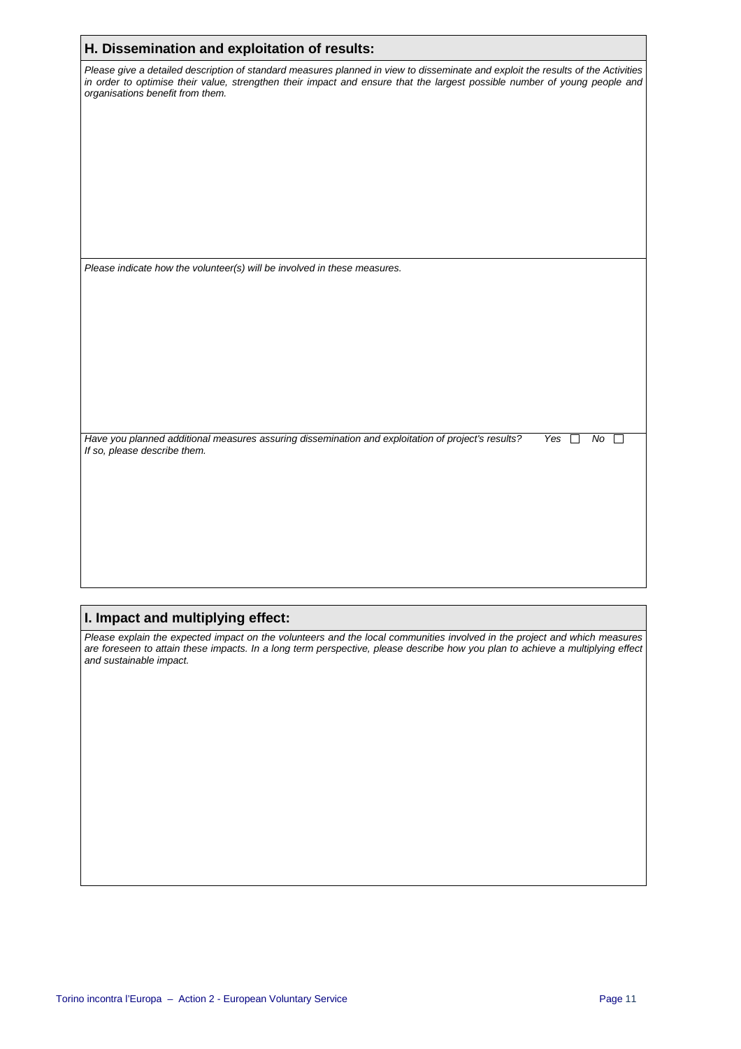| H. Dissemination and exploitation of results:                                                                                                                                                                                                                                                     |
|---------------------------------------------------------------------------------------------------------------------------------------------------------------------------------------------------------------------------------------------------------------------------------------------------|
| Please give a detailed description of standard measures planned in view to disseminate and exploit the results of the Activities<br>in order to optimise their value, strengthen their impact and ensure that the largest possible number of young people and<br>organisations benefit from them. |
|                                                                                                                                                                                                                                                                                                   |
|                                                                                                                                                                                                                                                                                                   |
| Please indicate how the volunteer(s) will be involved in these measures.                                                                                                                                                                                                                          |
| Have you planned additional measures assuring dissemination and exploitation of project's results?<br>Yes<br>No<br>If so, please describe them.                                                                                                                                                   |

# **I. Impact and multiplying effect:**

Please explain the expected impact on the volunteers and the local communities involved in the project and which measures are foreseen to attain these impacts. In a long term perspective, please describe how you plan to achieve a multiplying effect and sustainable impact.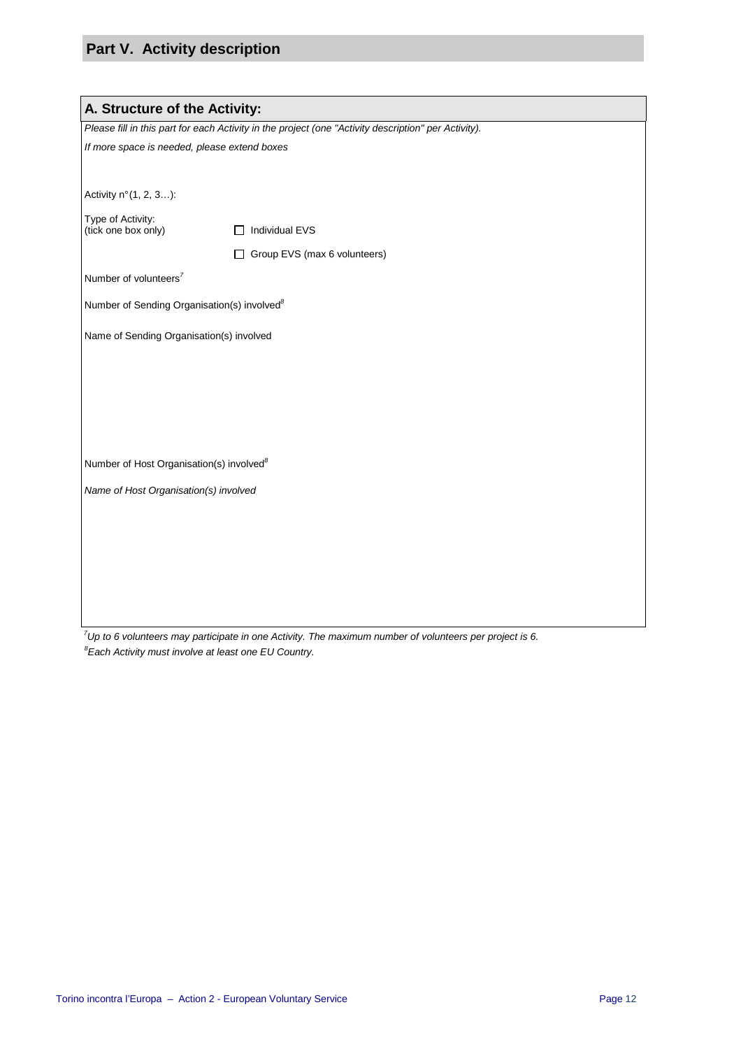# **Part V. Activity description**

| A. Structure of the Activity:                           |                                                                                                      |  |  |  |  |
|---------------------------------------------------------|------------------------------------------------------------------------------------------------------|--|--|--|--|
|                                                         | Please fill in this part for each Activity in the project (one "Activity description" per Activity). |  |  |  |  |
| If more space is needed, please extend boxes            |                                                                                                      |  |  |  |  |
|                                                         |                                                                                                      |  |  |  |  |
| Activity n° (1, 2, 3):                                  |                                                                                                      |  |  |  |  |
| Type of Activity:<br>(tick one box only)                | Individual EVS                                                                                       |  |  |  |  |
|                                                         | Group EVS (max 6 volunteers)<br>Ш                                                                    |  |  |  |  |
| Number of volunteers <sup>7</sup>                       |                                                                                                      |  |  |  |  |
| Number of Sending Organisation(s) involved <sup>8</sup> |                                                                                                      |  |  |  |  |
| Name of Sending Organisation(s) involved                |                                                                                                      |  |  |  |  |
|                                                         |                                                                                                      |  |  |  |  |
|                                                         |                                                                                                      |  |  |  |  |
|                                                         |                                                                                                      |  |  |  |  |
|                                                         |                                                                                                      |  |  |  |  |
|                                                         |                                                                                                      |  |  |  |  |
| Number of Host Organisation(s) involved <sup>8</sup>    |                                                                                                      |  |  |  |  |
| Name of Host Organisation(s) involved                   |                                                                                                      |  |  |  |  |
|                                                         |                                                                                                      |  |  |  |  |
|                                                         |                                                                                                      |  |  |  |  |
|                                                         |                                                                                                      |  |  |  |  |
|                                                         |                                                                                                      |  |  |  |  |
|                                                         |                                                                                                      |  |  |  |  |
|                                                         |                                                                                                      |  |  |  |  |

 $7$ Up to 6 volunteers may participate in one Activity. The maximum number of volunteers per project is 6.  ${}^{8}$ Each Activity must involve at least one EU Country.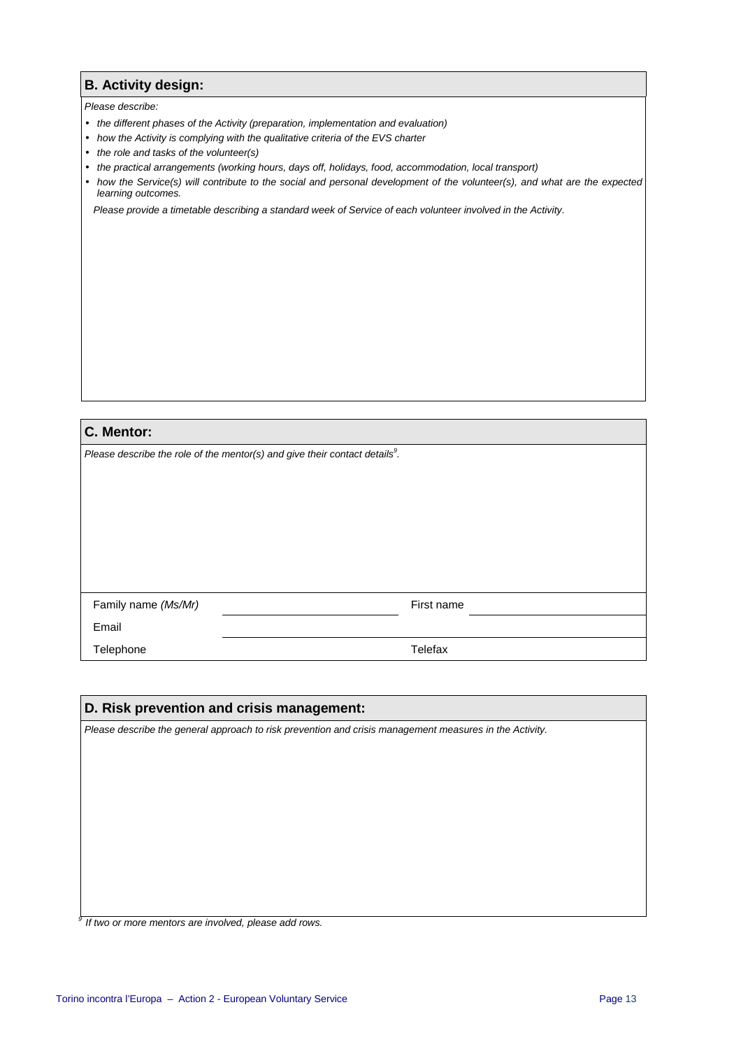## **B. Activity design:**

#### Please describe:

- the different phases of the Activity (preparation, implementation and evaluation)
- how the Activity is complying with the qualitative criteria of the EVS charter
- the role and tasks of the volunteer(s)
- the practical arrangements (working hours, days off, holidays, food, accommodation, local transport)
- how the Service(s) will contribute to the social and personal development of the volunteer(s), and what are the expected learning outcomes.

Please provide a timetable describing a standard week of Service of each volunteer involved in the Activity.

| C. Mentor:                                                                     |            |  |
|--------------------------------------------------------------------------------|------------|--|
| Please describe the role of the mentor(s) and give their contact details $9$ . |            |  |
|                                                                                |            |  |
|                                                                                |            |  |
|                                                                                |            |  |
|                                                                                |            |  |
|                                                                                |            |  |
|                                                                                |            |  |
| Family name (Ms/Mr)                                                            | First name |  |
|                                                                                |            |  |
| Email                                                                          |            |  |
| Telephone                                                                      | Telefax    |  |

| D. Risk prevention and crisis management:                                                               |  |  |  |  |
|---------------------------------------------------------------------------------------------------------|--|--|--|--|
| Please describe the general approach to risk prevention and crisis management measures in the Activity. |  |  |  |  |
|                                                                                                         |  |  |  |  |
|                                                                                                         |  |  |  |  |
|                                                                                                         |  |  |  |  |
|                                                                                                         |  |  |  |  |
|                                                                                                         |  |  |  |  |
|                                                                                                         |  |  |  |  |
|                                                                                                         |  |  |  |  |
|                                                                                                         |  |  |  |  |

<sup>9</sup> If two or more mentors are involved, please add rows.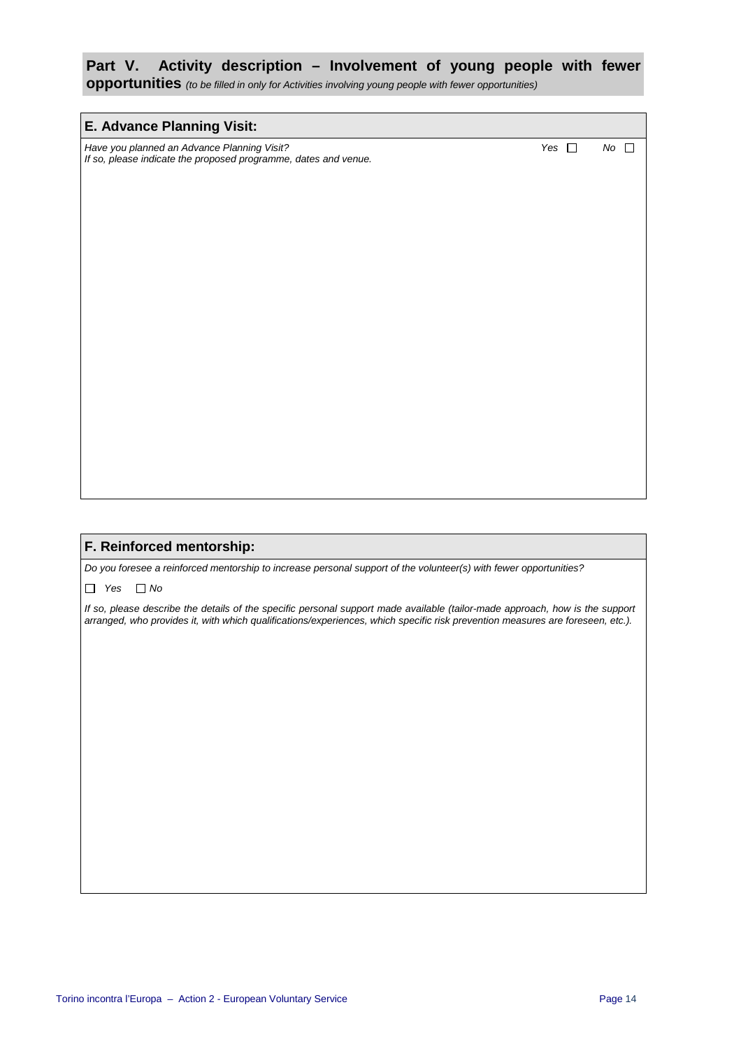# **Part V. Activity description – Involvement of young people with fewer**

**opportunities** (to be filled in only for Activities involving young people with fewer opportunities)

#### **E. Advance Planning Visit:**

Have you planned an Advance Planning Visit? Noting the Notation of North Control of North America, North America, No If so, please indicate the proposed programme, dates and venue.

#### **F. Reinforced mentorship:**

Do you foresee a reinforced mentorship to increase personal support of the volunteer(s) with fewer opportunities?

 $\Box$  Yes  $\Box$  No

If so, please describe the details of the specific personal support made available (tailor-made approach, how is the support arranged, who provides it, with which qualifications/experiences, which specific risk prevention measures are foreseen, etc.).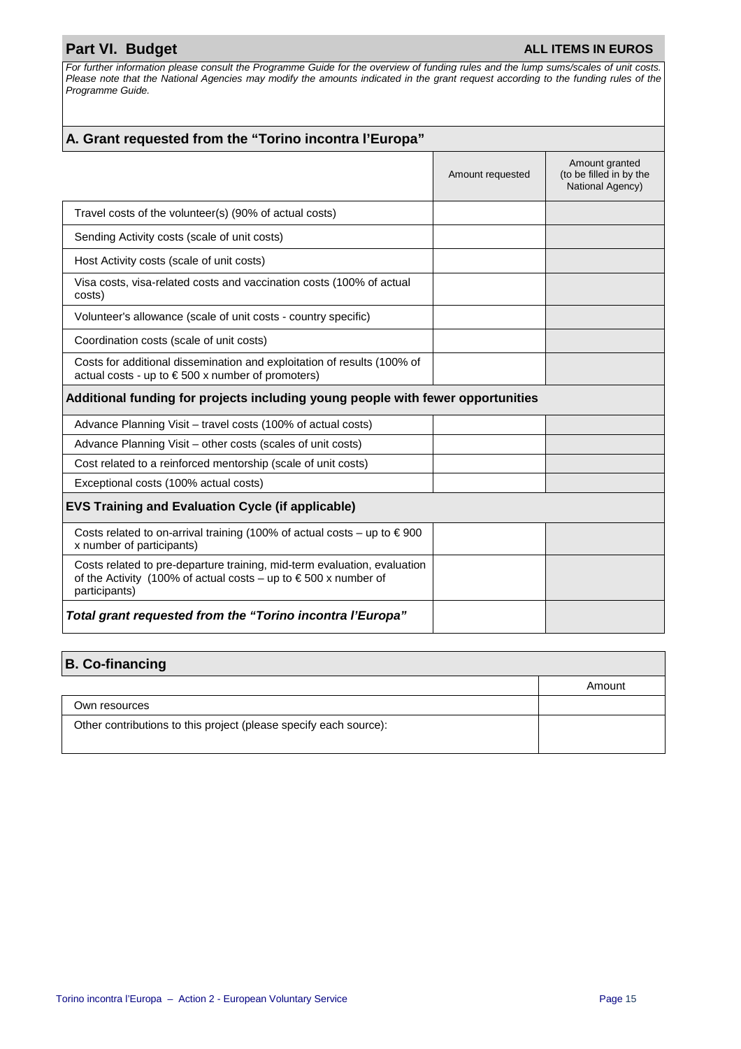# **Part VI. Budget ALL ITEMS IN EUROS**

For further information please consult the Programme Guide for the overview of funding rules and the lump sums/scales of unit costs. Please note that the National Agencies may modify the amounts indicated in the grant request according to the funding rules of the Programme Guide.

| A. Grant requested from the "Torino incontra l'Europa"                                                                                                                |                  |                                                               |
|-----------------------------------------------------------------------------------------------------------------------------------------------------------------------|------------------|---------------------------------------------------------------|
|                                                                                                                                                                       | Amount requested | Amount granted<br>(to be filled in by the<br>National Agency) |
| Travel costs of the volunteer(s) (90% of actual costs)                                                                                                                |                  |                                                               |
| Sending Activity costs (scale of unit costs)                                                                                                                          |                  |                                                               |
| Host Activity costs (scale of unit costs)                                                                                                                             |                  |                                                               |
| Visa costs, visa-related costs and vaccination costs (100% of actual<br>costs)                                                                                        |                  |                                                               |
| Volunteer's allowance (scale of unit costs - country specific)                                                                                                        |                  |                                                               |
| Coordination costs (scale of unit costs)                                                                                                                              |                  |                                                               |
| Costs for additional dissemination and exploitation of results (100% of<br>actual costs - up to $\epsilon$ 500 x number of promoters)                                 |                  |                                                               |
| Additional funding for projects including young people with fewer opportunities                                                                                       |                  |                                                               |
| Advance Planning Visit - travel costs (100% of actual costs)                                                                                                          |                  |                                                               |
| Advance Planning Visit – other costs (scales of unit costs)                                                                                                           |                  |                                                               |
| Cost related to a reinforced mentorship (scale of unit costs)                                                                                                         |                  |                                                               |
| Exceptional costs (100% actual costs)                                                                                                                                 |                  |                                                               |
| <b>EVS Training and Evaluation Cycle (if applicable)</b>                                                                                                              |                  |                                                               |
| Costs related to on-arrival training (100% of actual costs – up to $\in$ 900<br>x number of participants)                                                             |                  |                                                               |
| Costs related to pre-departure training, mid-term evaluation, evaluation<br>of the Activity (100% of actual costs – up to $\epsilon$ 500 x number of<br>participants) |                  |                                                               |
| Total grant requested from the "Torino incontra l'Europa"                                                                                                             |                  |                                                               |

| <b>B. Co-financing</b>                                            |        |
|-------------------------------------------------------------------|--------|
|                                                                   | Amount |
| Own resources                                                     |        |
| Other contributions to this project (please specify each source): |        |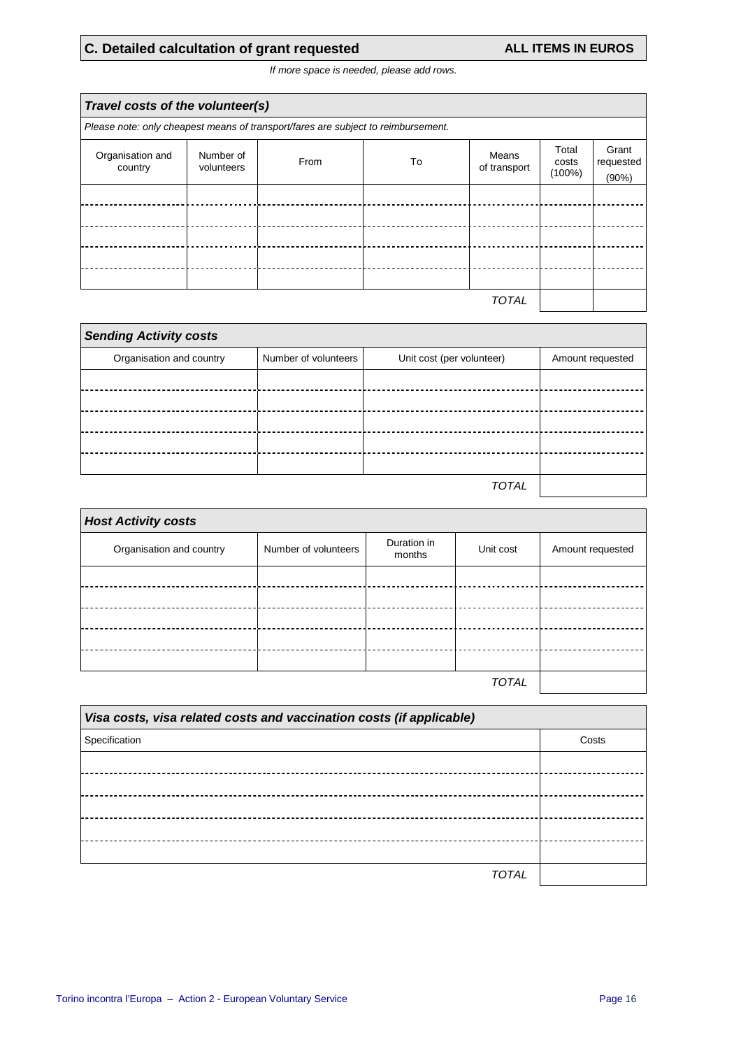# **C. Detailed calcultation of grant requested ALL ITEMS IN EUROS**

If more space is needed, please add rows.

| Travel costs of the volunteer(s) |                         |                                                                                   |    |                       |                             |                             |
|----------------------------------|-------------------------|-----------------------------------------------------------------------------------|----|-----------------------|-----------------------------|-----------------------------|
|                                  |                         | Please note: only cheapest means of transport/fares are subject to reimbursement. |    |                       |                             |                             |
| Organisation and<br>country      | Number of<br>volunteers | From                                                                              | To | Means<br>of transport | Total<br>costs<br>$(100\%)$ | Grant<br>requested<br>(90%) |
|                                  |                         |                                                                                   |    |                       |                             |                             |
|                                  |                         |                                                                                   |    |                       |                             |                             |
|                                  |                         |                                                                                   |    |                       |                             |                             |
|                                  |                         |                                                                                   |    |                       |                             |                             |
| <b>TOTAL</b>                     |                         |                                                                                   |    |                       |                             |                             |

| <b>Sending Activity costs</b> |                      |                           |                  |  |
|-------------------------------|----------------------|---------------------------|------------------|--|
| Organisation and country      | Number of volunteers | Unit cost (per volunteer) | Amount requested |  |
|                               |                      |                           |                  |  |
|                               |                      |                           |                  |  |
|                               |                      |                           |                  |  |
|                               |                      |                           |                  |  |
|                               |                      |                           |                  |  |
|                               |                      | TOTAL                     |                  |  |

| <b>Host Activity costs</b> |                      |                       |              |                  |
|----------------------------|----------------------|-----------------------|--------------|------------------|
| Organisation and country   | Number of volunteers | Duration in<br>months | Unit cost    | Amount requested |
|                            |                      |                       |              |                  |
|                            |                      |                       |              |                  |
|                            |                      |                       |              |                  |
|                            |                      |                       |              |                  |
|                            |                      |                       |              |                  |
|                            |                      |                       | <b>TOTAL</b> |                  |

| Visa costs, visa related costs and vaccination costs (if applicable) |       |  |
|----------------------------------------------------------------------|-------|--|
| Specification                                                        | Costs |  |
|                                                                      |       |  |
|                                                                      |       |  |
|                                                                      |       |  |
|                                                                      |       |  |
|                                                                      |       |  |
| TOTAI                                                                |       |  |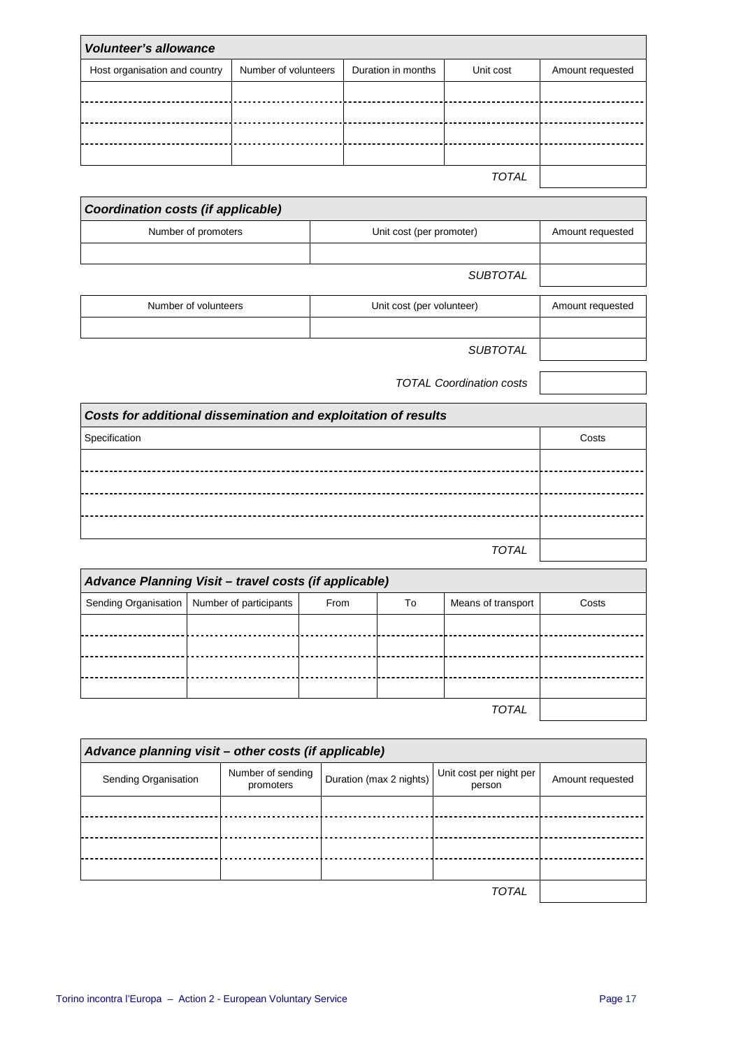| <b>Volunteer's allowance</b>  |                      |                    |              |                  |
|-------------------------------|----------------------|--------------------|--------------|------------------|
| Host organisation and country | Number of volunteers | Duration in months | Unit cost    | Amount requested |
|                               |                      |                    |              |                  |
|                               |                      |                    |              |                  |
|                               |                      |                    |              |                  |
|                               |                      |                    |              |                  |
|                               |                      |                    | <b>TOTAL</b> |                  |

| Coordination costs (if applicable) |                          |                  |
|------------------------------------|--------------------------|------------------|
| Number of promoters                | Unit cost (per promoter) | Amount requested |
|                                    |                          |                  |
|                                    | <b>SUBTOTAL</b>          |                  |

| Number of volunteers | Unit cost (per volunteer) | Amount requested |
|----------------------|---------------------------|------------------|

SUBTOTAL

TOTAL Coordination costs

| Costs for additional dissemination and exploitation of results |       |  |  |
|----------------------------------------------------------------|-------|--|--|
| Specification                                                  | Costs |  |  |
|                                                                |       |  |  |
|                                                                |       |  |  |
|                                                                |       |  |  |
|                                                                |       |  |  |
| <b>TOTAL</b>                                                   |       |  |  |

| Advance Planning Visit - travel costs (if applicable) |                                               |      |    |                    |       |
|-------------------------------------------------------|-----------------------------------------------|------|----|--------------------|-------|
|                                                       | Sending Organisation   Number of participants | From | To | Means of transport | Costs |
|                                                       |                                               |      |    |                    |       |
|                                                       |                                               |      |    |                    |       |
|                                                       |                                               |      |    |                    |       |
|                                                       |                                               |      |    |                    |       |
|                                                       |                                               |      |    | <b>TOTAL</b>       |       |

| Advance planning visit - other costs (if applicable) |                                |                         |                                   |                  |
|------------------------------------------------------|--------------------------------|-------------------------|-----------------------------------|------------------|
| Sending Organisation                                 | Number of sending<br>promoters | Duration (max 2 nights) | Unit cost per night per<br>person | Amount requested |
|                                                      |                                |                         |                                   |                  |
|                                                      |                                |                         |                                   |                  |
|                                                      |                                |                         |                                   |                  |
|                                                      |                                |                         |                                   |                  |
|                                                      |                                |                         | <b>TOTAL</b>                      |                  |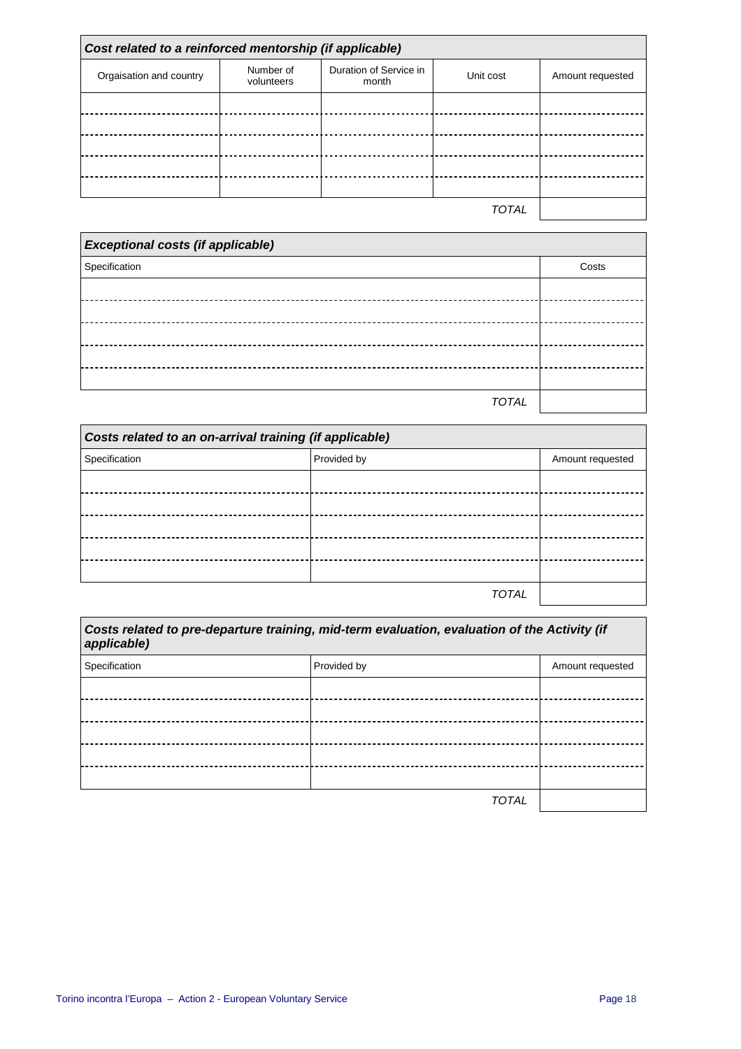| Cost related to a reinforced mentorship (if applicable) |                         |                                 |              |                  |
|---------------------------------------------------------|-------------------------|---------------------------------|--------------|------------------|
| Orgaisation and country                                 | Number of<br>volunteers | Duration of Service in<br>month | Unit cost    | Amount requested |
|                                                         |                         |                                 |              |                  |
|                                                         |                         |                                 |              |                  |
|                                                         |                         |                                 |              |                  |
|                                                         |                         |                                 |              |                  |
|                                                         |                         |                                 |              |                  |
|                                                         |                         |                                 | <b>TOTAL</b> |                  |

| <b>Exceptional costs (if applicable)</b> |       |
|------------------------------------------|-------|
| Specification                            | Costs |
|                                          |       |
|                                          |       |
|                                          |       |
|                                          |       |
|                                          |       |
| <b>TOTAL</b>                             |       |

| Costs related to an on-arrival training (if applicable) |             |              |                  |
|---------------------------------------------------------|-------------|--------------|------------------|
| Specification                                           | Provided by |              | Amount requested |
|                                                         |             |              |                  |
|                                                         |             |              |                  |
|                                                         |             |              |                  |
|                                                         |             |              |                  |
|                                                         |             |              |                  |
|                                                         |             | <b>TOTAL</b> |                  |

| Costs related to pre-departure training, mid-term evaluation, evaluation of the Activity (if<br>applicable) |              |                  |  |
|-------------------------------------------------------------------------------------------------------------|--------------|------------------|--|
| Specification                                                                                               | Provided by  | Amount requested |  |
|                                                                                                             |              |                  |  |
|                                                                                                             |              |                  |  |
|                                                                                                             |              |                  |  |
|                                                                                                             |              |                  |  |
|                                                                                                             |              |                  |  |
|                                                                                                             | <b>TOTAL</b> |                  |  |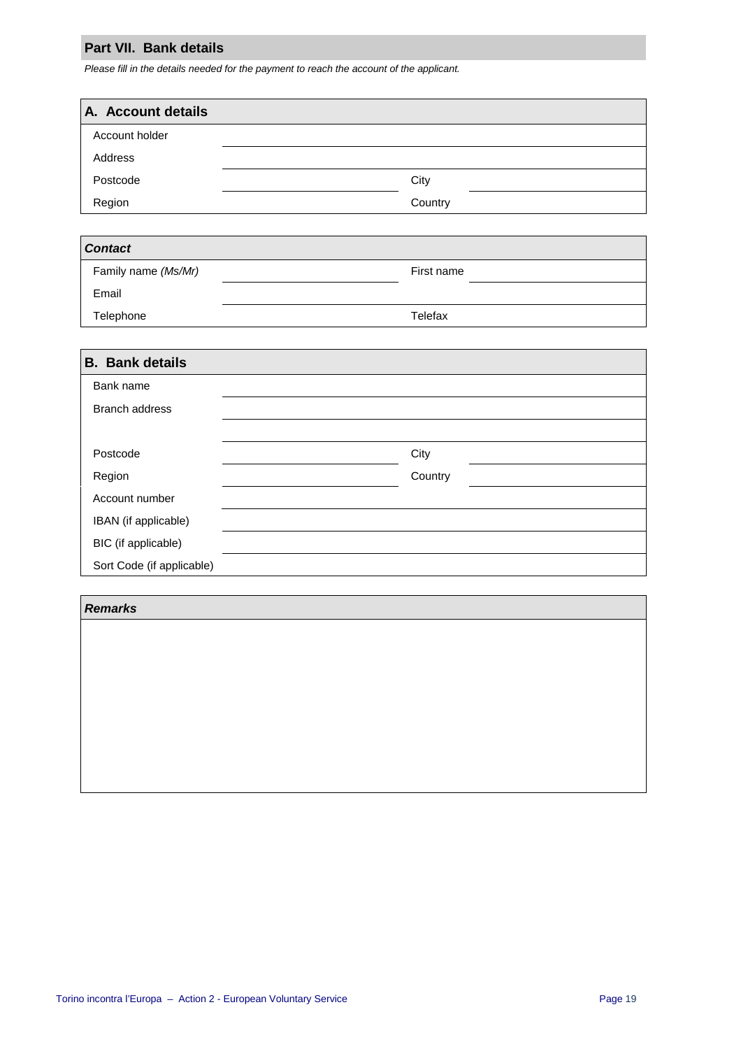### **Part VII. Bank details**

Please fill in the details needed for the payment to reach the account of the applicant.

| A. Account details |         |
|--------------------|---------|
| Account holder     |         |
| Address            |         |
| Postcode           | City    |
| Region             | Country |

| <b>Contact</b>      |            |  |
|---------------------|------------|--|
| Family name (Ms/Mr) | First name |  |
| Email               |            |  |
| Telephone           | Telefax    |  |

| <b>B.</b> Bank details    |         |  |  |  |  |  |  |  |
|---------------------------|---------|--|--|--|--|--|--|--|
| Bank name                 |         |  |  |  |  |  |  |  |
| <b>Branch address</b>     |         |  |  |  |  |  |  |  |
|                           |         |  |  |  |  |  |  |  |
| Postcode                  | City    |  |  |  |  |  |  |  |
| Region                    | Country |  |  |  |  |  |  |  |
| Account number            |         |  |  |  |  |  |  |  |
| IBAN (if applicable)      |         |  |  |  |  |  |  |  |
| BIC (if applicable)       |         |  |  |  |  |  |  |  |
| Sort Code (if applicable) |         |  |  |  |  |  |  |  |

#### **Remarks**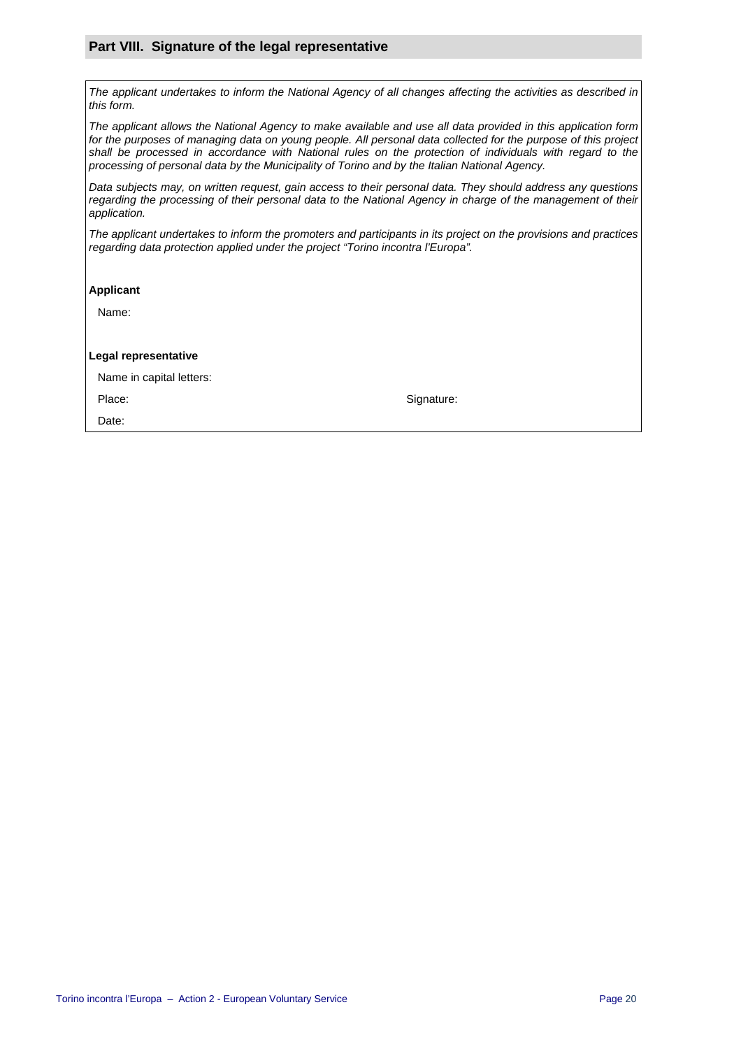#### **Part VIII. Signature of the legal representative**

The applicant undertakes to inform the National Agency of all changes affecting the activities as described in this form.

The applicant allows the National Agency to make available and use all data provided in this application form for the purposes of managing data on young people. All personal data collected for the purpose of this project shall be processed in accordance with National rules on the protection of individuals with regard to the processing of personal data by the Municipality of Torino and by the Italian National Agency.

Data subjects may, on written request, gain access to their personal data. They should address any questions regarding the processing of their personal data to the National Agency in charge of the management of their application.

The applicant undertakes to inform the promoters and participants in its project on the provisions and practices regarding data protection applied under the project "Torino incontra l'Europa".

#### **Applicant**

Name:

#### **Legal representative**

Name in capital letters:

Date:

Place: Signature: Signature: Signature: Signature: Signature: Signature: Signature: Signature: Signature: Signature: Signature: Signature: Signature: Signature: Signature: Signature: Signature: Signature: Signature: Signat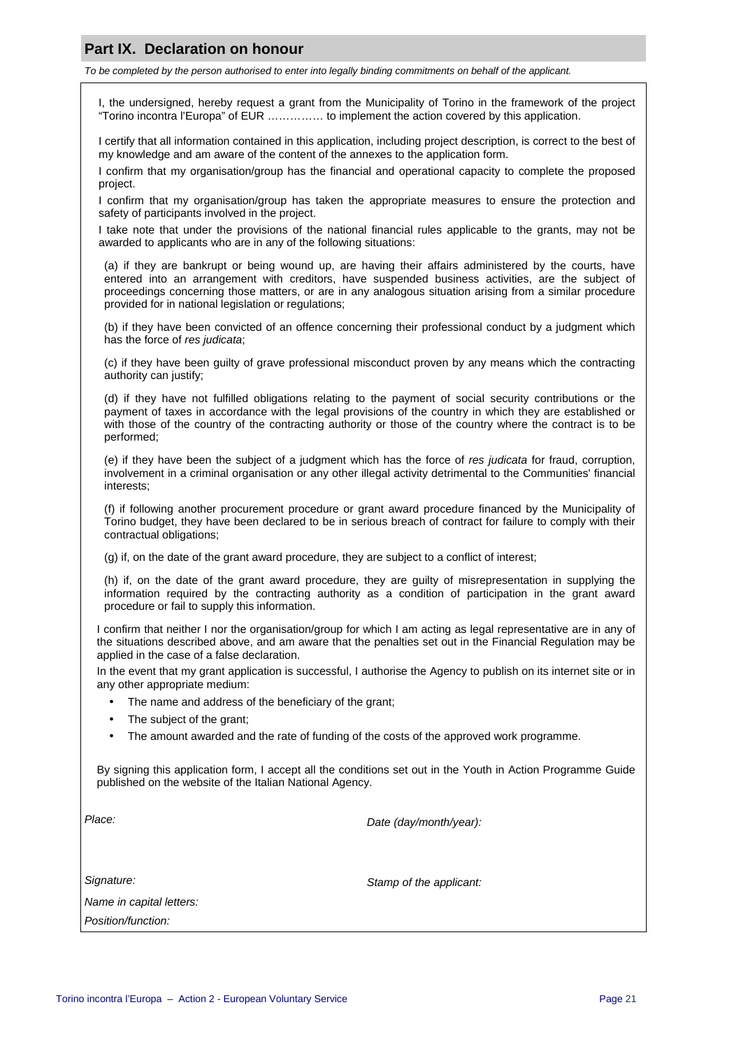## **Part IX. Declaration on honour**

To be completed by the person authorised to enter into legally binding commitments on behalf of the applicant.

I, the undersigned, hereby request a grant from the Municipality of Torino in the framework of the project "Torino incontra l'Europa" of EUR …………… to implement the action covered by this application.

I certify that all information contained in this application, including project description, is correct to the best of my knowledge and am aware of the content of the annexes to the application form.

I confirm that my organisation/group has the financial and operational capacity to complete the proposed project.

I confirm that my organisation/group has taken the appropriate measures to ensure the protection and safety of participants involved in the project.

I take note that under the provisions of the national financial rules applicable to the grants, may not be awarded to applicants who are in any of the following situations:

(a) if they are bankrupt or being wound up, are having their affairs administered by the courts, have entered into an arrangement with creditors, have suspended business activities, are the subject of proceedings concerning those matters, or are in any analogous situation arising from a similar procedure provided for in national legislation or regulations;

(b) if they have been convicted of an offence concerning their professional conduct by a judgment which has the force of res judicata;

(c) if they have been guilty of grave professional misconduct proven by any means which the contracting authority can justify;

(d) if they have not fulfilled obligations relating to the payment of social security contributions or the payment of taxes in accordance with the legal provisions of the country in which they are established or with those of the country of the contracting authority or those of the country where the contract is to be performed;

(e) if they have been the subject of a judgment which has the force of res judicata for fraud, corruption, involvement in a criminal organisation or any other illegal activity detrimental to the Communities' financial interests;

(f) if following another procurement procedure or grant award procedure financed by the Municipality of Torino budget, they have been declared to be in serious breach of contract for failure to comply with their contractual obligations;

(g) if, on the date of the grant award procedure, they are subject to a conflict of interest;

(h) if, on the date of the grant award procedure, they are guilty of misrepresentation in supplying the information required by the contracting authority as a condition of participation in the grant award procedure or fail to supply this information.

I confirm that neither I nor the organisation/group for which I am acting as legal representative are in any of the situations described above, and am aware that the penalties set out in the Financial Regulation may be applied in the case of a false declaration.

In the event that my grant application is successful, I authorise the Agency to publish on its internet site or in any other appropriate medium:

- The name and address of the beneficiary of the grant;
- The subject of the grant;
- The amount awarded and the rate of funding of the costs of the approved work programme.

By signing this application form, I accept all the conditions set out in the Youth in Action Programme Guide published on the website of the Italian National Agency.

Place: Place: Place: Place: Place: Place: Place: Place: Place: Place: Place: Place: Place: Place: Place: Place: Place: Place: Place: Place: Place: Place: Place: Place: Place: Place: Place: Place: Place: Place: Place: Place

Signature: Signature: Signature: Stamp of the applicant:

| Name in capital letters: |
|--------------------------|
| Position/function:       |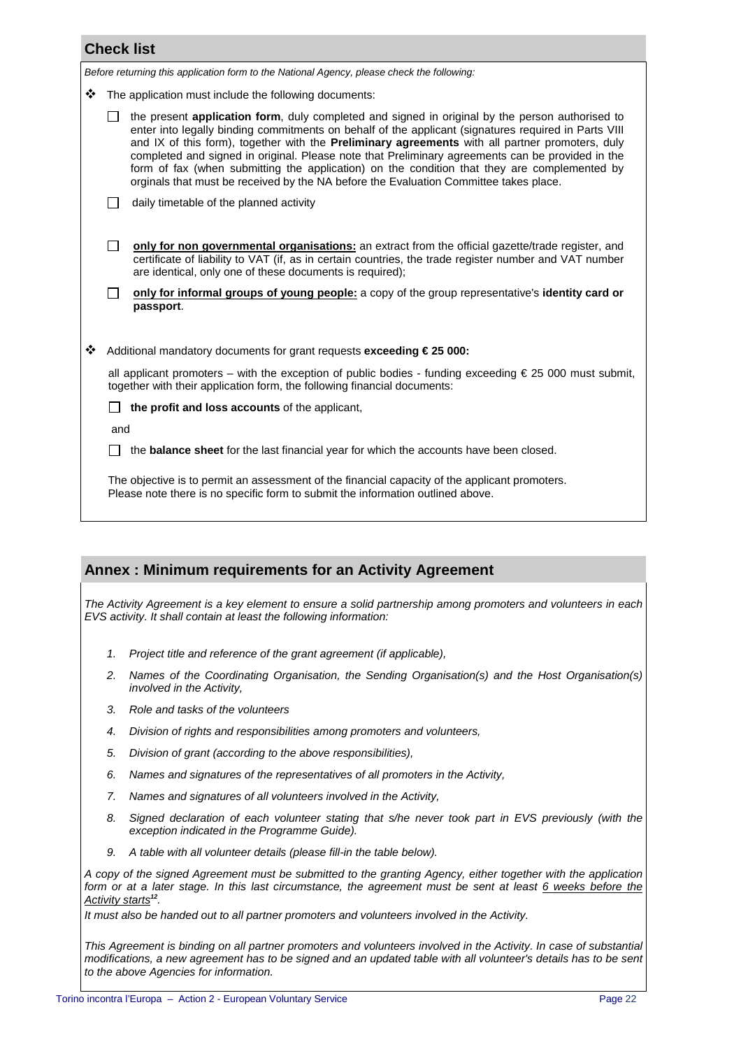| <b>Check list</b>                                                                          |                                                                                                                                                                                              |                                                                                                                                                                                                                                                                                                                                                                                                                                                                                                                                                                                                                |  |  |  |  |  |  |  |
|--------------------------------------------------------------------------------------------|----------------------------------------------------------------------------------------------------------------------------------------------------------------------------------------------|----------------------------------------------------------------------------------------------------------------------------------------------------------------------------------------------------------------------------------------------------------------------------------------------------------------------------------------------------------------------------------------------------------------------------------------------------------------------------------------------------------------------------------------------------------------------------------------------------------------|--|--|--|--|--|--|--|
| Before returning this application form to the National Agency, please check the following: |                                                                                                                                                                                              |                                                                                                                                                                                                                                                                                                                                                                                                                                                                                                                                                                                                                |  |  |  |  |  |  |  |
| ❖                                                                                          | The application must include the following documents:                                                                                                                                        |                                                                                                                                                                                                                                                                                                                                                                                                                                                                                                                                                                                                                |  |  |  |  |  |  |  |
|                                                                                            |                                                                                                                                                                                              | the present application form, duly completed and signed in original by the person authorised to<br>enter into legally binding commitments on behalf of the applicant (signatures required in Parts VIII<br>and IX of this form), together with the <b>Preliminary agreements</b> with all partner promoters, duly<br>completed and signed in original. Please note that Preliminary agreements can be provided in the<br>form of fax (when submitting the application) on the condition that they are complemented by<br>orginals that must be received by the NA before the Evaluation Committee takes place. |  |  |  |  |  |  |  |
|                                                                                            | daily timetable of the planned activity                                                                                                                                                      |                                                                                                                                                                                                                                                                                                                                                                                                                                                                                                                                                                                                                |  |  |  |  |  |  |  |
|                                                                                            | $\Box$                                                                                                                                                                                       | only for non governmental organisations: an extract from the official gazette/trade register, and<br>certificate of liability to VAT (if, as in certain countries, the trade register number and VAT number<br>are identical, only one of these documents is required);                                                                                                                                                                                                                                                                                                                                        |  |  |  |  |  |  |  |
|                                                                                            | only for informal groups of young people: a copy of the group representative's identity card or<br>П<br>passport.                                                                            |                                                                                                                                                                                                                                                                                                                                                                                                                                                                                                                                                                                                                |  |  |  |  |  |  |  |
|                                                                                            |                                                                                                                                                                                              |                                                                                                                                                                                                                                                                                                                                                                                                                                                                                                                                                                                                                |  |  |  |  |  |  |  |
| ❖                                                                                          | Additional mandatory documents for grant requests exceeding € 25 000:                                                                                                                        |                                                                                                                                                                                                                                                                                                                                                                                                                                                                                                                                                                                                                |  |  |  |  |  |  |  |
|                                                                                            | all applicant promoters – with the exception of public bodies - funding exceeding $\epsilon$ 25 000 must submit,<br>together with their application form, the following financial documents: |                                                                                                                                                                                                                                                                                                                                                                                                                                                                                                                                                                                                                |  |  |  |  |  |  |  |
|                                                                                            |                                                                                                                                                                                              | the profit and loss accounts of the applicant,                                                                                                                                                                                                                                                                                                                                                                                                                                                                                                                                                                 |  |  |  |  |  |  |  |
|                                                                                            | and                                                                                                                                                                                          |                                                                                                                                                                                                                                                                                                                                                                                                                                                                                                                                                                                                                |  |  |  |  |  |  |  |
|                                                                                            | the <b>balance sheet</b> for the last financial year for which the accounts have been closed.                                                                                                |                                                                                                                                                                                                                                                                                                                                                                                                                                                                                                                                                                                                                |  |  |  |  |  |  |  |
|                                                                                            | The objective is to permit an assessment of the financial capacity of the applicant promoters.<br>Please note there is no specific form to submit the information outlined above.            |                                                                                                                                                                                                                                                                                                                                                                                                                                                                                                                                                                                                                |  |  |  |  |  |  |  |

## **Annex : Minimum requirements for an Activity Agreement**

The Activity Agreement is a key element to ensure a solid partnership among promoters and volunteers in each EVS activity. It shall contain at least the following information:

- 1. Project title and reference of the grant agreement (if applicable),
- 2. Names of the Coordinating Organisation, the Sending Organisation(s) and the Host Organisation(s) involved in the Activity,
- 3. Role and tasks of the volunteers
- 4. Division of rights and responsibilities among promoters and volunteers,
- 5. Division of grant (according to the above responsibilities),
- 6. Names and signatures of the representatives of all promoters in the Activity,
- 7. Names and signatures of all volunteers involved in the Activity,
- 8. Signed declaration of each volunteer stating that s/he never took part in EVS previously (with the exception indicated in the Programme Guide).
- 9. A table with all volunteer details (please fill-in the table below).

A copy of the signed Agreement must be submitted to the granting Agency, either together with the application form or at a later stage. In this last circumstance, the agreement must be sent at least 6 weeks before the Activity starts**<sup>12</sup>** .

It must also be handed out to all partner promoters and volunteers involved in the Activity.

This Agreement is binding on all partner promoters and volunteers involved in the Activity. In case of substantial modifications, a new agreement has to be signed and an updated table with all volunteer's details has to be sent to the above Agencies for information.